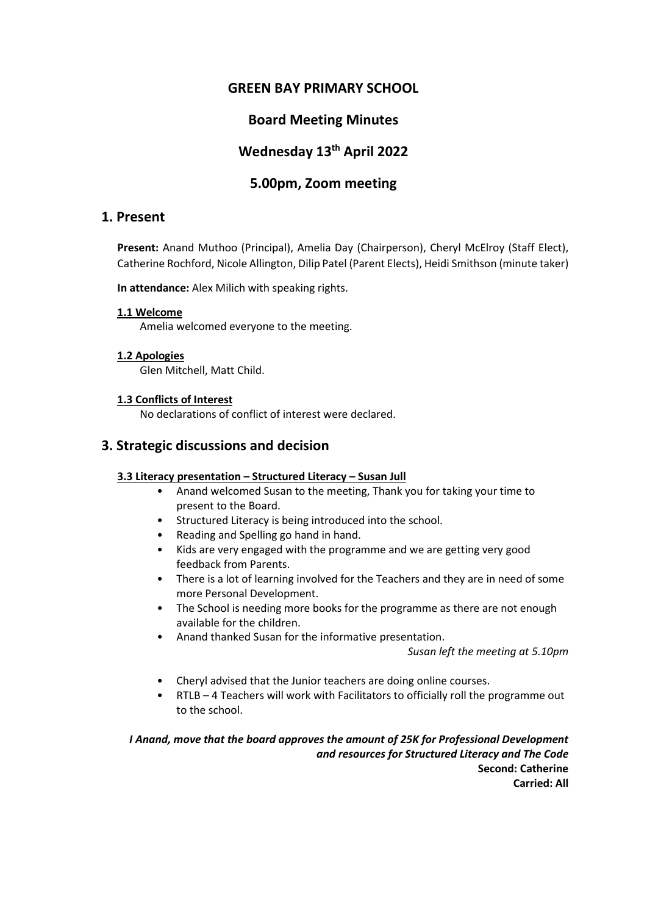## **GREEN BAY PRIMARY SCHOOL**

# **Board Meeting Minutes**

# **Wednesday 13th April 2022**

## **5.00pm, Zoom meeting**

### **1. Present**

**Present:** Anand Muthoo (Principal), Amelia Day (Chairperson), Cheryl McElroy (Staff Elect), Catherine Rochford, Nicole Allington, Dilip Patel (Parent Elects), Heidi Smithson (minute taker)

**In attendance:** Alex Milich with speaking rights.

### **1.1 Welcome**

Amelia welcomed everyone to the meeting.

### **1.2 Apologies**

Glen Mitchell, Matt Child.

### **1.3 Conflicts of Interest**

No declarations of conflict of interest were declared.

## **3. Strategic discussions and decision**

#### **3.3 Literacy presentation – Structured Literacy – Susan Jull**

- Anand welcomed Susan to the meeting, Thank you for taking your time to present to the Board.
- Structured Literacy is being introduced into the school.
- Reading and Spelling go hand in hand.
- Kids are very engaged with the programme and we are getting very good feedback from Parents.
- There is a lot of learning involved for the Teachers and they are in need of some more Personal Development.
- The School is needing more books for the programme as there are not enough available for the children.
- Anand thanked Susan for the informative presentation.

*Susan left the meeting at 5.10pm*

- Cheryl advised that the Junior teachers are doing online courses.
- RTLB 4 Teachers will work with Facilitators to officially roll the programme out to the school.

*I Anand, move that the board approves the amount of 25K for Professional Development and resources for Structured Literacy and The Code* **Second: Catherine Carried: All**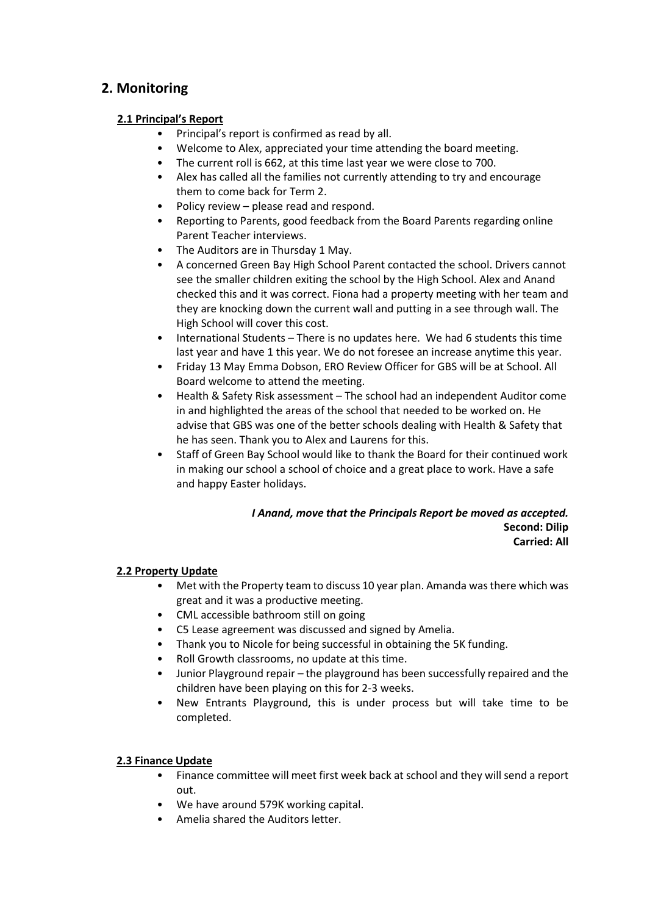# **2. Monitoring**

### **2.1 Principal's Report**

- Principal's report is confirmed as read by all.
- Welcome to Alex, appreciated your time attending the board meeting.
- The current roll is 662, at this time last year we were close to 700.
- Alex has called all the families not currently attending to try and encourage them to come back for Term 2.
- Policy review please read and respond.
- Reporting to Parents, good feedback from the Board Parents regarding online Parent Teacher interviews.
- The Auditors are in Thursday 1 May.
- A concerned Green Bay High School Parent contacted the school. Drivers cannot see the smaller children exiting the school by the High School. Alex and Anand checked this and it was correct. Fiona had a property meeting with her team and they are knocking down the current wall and putting in a see through wall. The High School will cover this cost.
- International Students There is no updates here. We had 6 students this time last year and have 1 this year. We do not foresee an increase anytime this year.
- Friday 13 May Emma Dobson, ERO Review Officer for GBS will be at School. All Board welcome to attend the meeting.
- Health & Safety Risk assessment The school had an independent Auditor come in and highlighted the areas of the school that needed to be worked on. He advise that GBS was one of the better schools dealing with Health & Safety that he has seen. Thank you to Alex and Laurens for this.
- Staff of Green Bay School would like to thank the Board for their continued work in making our school a school of choice and a great place to work. Have a safe and happy Easter holidays.

#### *I Anand, move that the Principals Report be moved as accepted.* **Second: Dilip Carried: All**

### **2.2 Property Update**

- Met with the Property team to discuss 10 year plan. Amanda was there which was great and it was a productive meeting.
- CML accessible bathroom still on going
- C5 Lease agreement was discussed and signed by Amelia.
- Thank you to Nicole for being successful in obtaining the 5K funding.
- Roll Growth classrooms, no update at this time.
- Junior Playground repair the playground has been successfully repaired and the children have been playing on this for 2-3 weeks.
- New Entrants Playground, this is under process but will take time to be completed.

### **2.3 Finance Update**

- Finance committee will meet first week back at school and they will send a report out.
- We have around 579K working capital.
- Amelia shared the Auditors letter.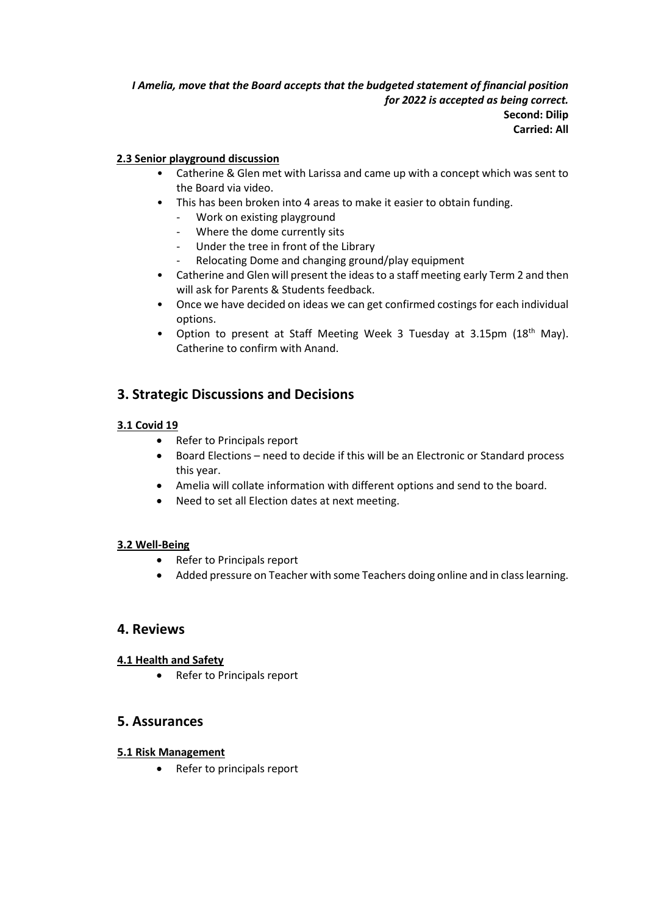### *I Amelia, move that the Board accepts that the budgeted statement of financial position for 2022 is accepted as being correct.*  **Second: Dilip Carried: All**

### **2.3 Senior playground discussion**

- Catherine & Glen met with Larissa and came up with a concept which was sent to the Board via video.
- This has been broken into 4 areas to make it easier to obtain funding.
	- Work on existing playground
	- Where the dome currently sits
	- Under the tree in front of the Library
	- Relocating Dome and changing ground/play equipment
- Catherine and Glen will present the ideas to a staff meeting early Term 2 and then will ask for Parents & Students feedback.
- Once we have decided on ideas we can get confirmed costings for each individual options.
- Option to present at Staff Meeting Week 3 Tuesday at 3.15pm (18<sup>th</sup> May). Catherine to confirm with Anand.

## **3. Strategic Discussions and Decisions**

### **3.1 Covid 19**

- Refer to Principals report
- Board Elections need to decide if this will be an Electronic or Standard process this year.
- Amelia will collate information with different options and send to the board.
- Need to set all Election dates at next meeting.

### **3.2 Well-Being**

- Refer to Principals report
- Added pressure on Teacher with some Teachers doing online and in class learning.

## **4. Reviews**

### **4.1 Health and Safety**

• Refer to Principals report

## **5. Assurances**

### **5.1 Risk Management**

• Refer to principals report